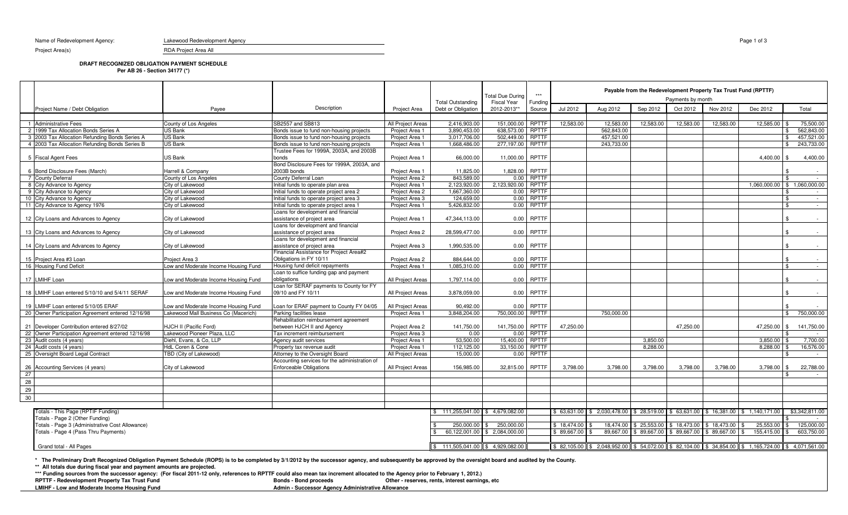Name of Redevelopment Agency: Lakewood Redevelopment Agency

RDA Project Area All

Project Area(s)

## **DRAFT RECOGNIZED OBLIGATION PAYMENT SCHEDULE**

**Per AB 26 - Section 34177 (\*)**

|    |                                                   |                                      |                                                                                 |                   | <b>Total Outstanding</b> | <b>Total Due During</b><br><b>Fiscal Year</b> | Funding      | Payable from the Redevelopment Property Tax Trust Fund (RPTTF)<br>Payments by month |                |              |             |             |                                                                                                                                                                                  |                              |  |
|----|---------------------------------------------------|--------------------------------------|---------------------------------------------------------------------------------|-------------------|--------------------------|-----------------------------------------------|--------------|-------------------------------------------------------------------------------------|----------------|--------------|-------------|-------------|----------------------------------------------------------------------------------------------------------------------------------------------------------------------------------|------------------------------|--|
|    | Project Name / Debt Obligation                    | Payee                                | Description                                                                     | Project Area      | Debt or Obligation       | 2012-2013**                                   | Source       | Jul 2012                                                                            | Aug 2012       | Sep 2012     | Oct 2012    | Nov 2012    | Dec 2012                                                                                                                                                                         | Total                        |  |
|    |                                                   |                                      |                                                                                 |                   |                          |                                               |              |                                                                                     |                |              |             |             |                                                                                                                                                                                  |                              |  |
|    | 1 Administrative Fees                             | County of Los Angeles                | SB2557 and SB813                                                                | All Project Areas | 2,416,903.00             | 151,000.00                                    | RPTTF        | 12,583.00                                                                           | 12,583.00      | 12,583.00    | 12,583.00   | 12,583.00   | 12,585.00                                                                                                                                                                        | 75,500.00                    |  |
|    | 2 1999 Tax Allocation Bonds Series A              | US Bank                              | Bonds issue to fund non-housing projects                                        | Project Area 1    | 3,890,453.00             | 638,573.00                                    | RPTTF        |                                                                                     | 562,843.00     |              |             |             |                                                                                                                                                                                  | 562,843.00                   |  |
|    | 3 2003 Tax Allocation Refunding Bonds Series A    | US Bank                              | Bonds issue to fund non-housing projects                                        | Project Area 1    | 3,017,706.00             | 502,449.00                                    | <b>RPTTF</b> |                                                                                     | 457,521.00     |              |             |             |                                                                                                                                                                                  | 457,521.00                   |  |
|    | 4 2003 Tax Allocation Refunding Bonds Series B    | US Bank                              | Bonds issue to fund non-housing projects                                        | Project Area 1    | 1,668,486.00             | 277,197.00                                    | <b>RPTTF</b> |                                                                                     | 243,733.00     |              |             |             | 243,733.00<br>.ድ                                                                                                                                                                 |                              |  |
|    | 5 Fiscal Agent Fees                               | US Bank                              | Trustee Fees for 1999A, 2003A, and 2003B<br>bonds                               | Project Area 1    | 66,000.00                | 11,000.00                                     | RPTTF        |                                                                                     |                |              |             |             | 4,400.00 \$                                                                                                                                                                      | 4,400.00                     |  |
|    |                                                   |                                      | Bond Disclosure Fees for 1999A, 2003A, and                                      |                   |                          |                                               |              |                                                                                     |                |              |             |             |                                                                                                                                                                                  |                              |  |
|    | 6 Bond Disclosure Fees (March)                    | Harrell & Company                    | 2003B bonds                                                                     | Project Area 1    | 11,825.00                | 1,828.00                                      | <b>RPTTF</b> |                                                                                     |                |              |             |             |                                                                                                                                                                                  |                              |  |
|    | 7 County Deferral                                 | County of Los Angeles                | County Deferral Loan                                                            | Project Area 2    | 843,589.00               | 0.00                                          | <b>RPTTF</b> |                                                                                     |                |              |             |             |                                                                                                                                                                                  | $\sim$                       |  |
|    | 8 City Advance to Agency                          | City of Lakewood                     | Initial funds to operate plan area                                              | Project Area 1    | 2,123,920.00             | 2,123,920.00                                  | <b>RPTTF</b> |                                                                                     |                |              |             |             |                                                                                                                                                                                  | 1,060,000.00 \$ 1,060,000.00 |  |
|    | 9 City Advance to Agency                          | City of Lakewood                     | Initial funds to operate project area 2                                         | Project Area 2    | 1,667,360.00             | 0.00                                          | <b>RPTTF</b> |                                                                                     |                |              |             |             |                                                                                                                                                                                  | -\$<br>$\sim$ $-$            |  |
|    | 10 City Advance to Agency                         | City of Lakewood                     | Initial funds to operate project area 3                                         | Project Area 3    | 124,659.00               | 0.00                                          | <b>RPTTF</b> |                                                                                     |                |              |             |             |                                                                                                                                                                                  | \$<br>$\sim 10^{-11}$        |  |
|    | 11 City Advance to Agency 1976                    | City of Lakewood                     | Initial funds to operate project area 1                                         | Project Area 1    | 5,426,832.00             | 0.00                                          | RPTTF        |                                                                                     |                |              |             |             |                                                                                                                                                                                  | \$<br>$\sim$                 |  |
|    | 12 City Loans and Advances to Agency              | City of Lakewood                     | Loans for development and financial<br>assistance of project area               | Project Area 1    | 47,344,113.00            |                                               | $0.00$ RPTTF |                                                                                     |                |              |             |             |                                                                                                                                                                                  |                              |  |
|    |                                                   |                                      | Loans for development and financial                                             |                   |                          |                                               |              |                                                                                     |                |              |             |             |                                                                                                                                                                                  |                              |  |
|    | 13 City Loans and Advances to Agency              | City of Lakewood                     | assistance of project area                                                      | Project Area 2    | 28,599,477.00            | 0.00                                          | <b>RPTTF</b> |                                                                                     |                |              |             |             |                                                                                                                                                                                  |                              |  |
|    | 14 City Loans and Advances to Agency              | City of Lakewood                     | Loans for development and financial<br>assistance of project area               | Project Area 3    | 1,990,535.00             | 0.00                                          | <b>RPTTF</b> |                                                                                     |                |              |             |             |                                                                                                                                                                                  |                              |  |
|    |                                                   |                                      | Financial Assistance for Project Area#2                                         |                   |                          |                                               |              |                                                                                     |                |              |             |             |                                                                                                                                                                                  |                              |  |
|    | 15 Project Area #3 Loan                           | Project Area 3                       | Obligations in FY 10/11                                                         | Project Area 2    | 884,644.00               | 0.00                                          | <b>RPTTF</b> |                                                                                     |                |              |             |             |                                                                                                                                                                                  | $\sim$                       |  |
|    | 16 Housing Fund Deficit                           | Low and Moderate Income Housing Fund | Housing fund deficit repayments                                                 | Project Area 1    | 1.085.310.00             | 0.00                                          | <b>RPTTF</b> |                                                                                     |                |              |             |             |                                                                                                                                                                                  | \$<br>$\sim$                 |  |
|    | 17 LMIHF Loan                                     | Low and Moderate Income Housing Fund | Loan to suffice funding gap and payment<br>obligations                          | All Project Areas | 1,797,114.00             | 0.00                                          | RPTTF        |                                                                                     |                |              |             |             |                                                                                                                                                                                  | $\sim$                       |  |
|    |                                                   |                                      | Loan for SERAF payments to County for FY                                        |                   |                          |                                               |              |                                                                                     |                |              |             |             |                                                                                                                                                                                  |                              |  |
|    | 18 LMIHF Loan entered 5/10/10 and 5/4/11 SERAF    | Low and Moderate Income Housing Fund | 09/10 and FY 10/11                                                              | All Project Areas | 3,878,059.00             | 0.00                                          | <b>RPTTF</b> |                                                                                     |                |              |             |             |                                                                                                                                                                                  |                              |  |
|    | 19 LMIHF Loan entered 5/10/05 ERAF                | Low and Moderate Income Housing Fund | Loan for ERAF payment to County FY 04/05                                        | All Project Areas | 90,492.00                | 0.00                                          | RPTTF        |                                                                                     |                |              |             |             |                                                                                                                                                                                  |                              |  |
|    | 20 Owner Participation Agreement entered 12/16/98 | Lakewood Mall Business Co (Macerich) | Parking facilities lease                                                        | Project Area 1    | 3,848,204.00             | 750,000.00                                    | RPTTF        |                                                                                     | 750,000.00     |              |             |             |                                                                                                                                                                                  | \$750,000.00                 |  |
|    | 21 Developer Contribution entered 8/27/02         | HJCH II (Pacific Ford)               | Rehabilitation reimbursement agreement<br>between HJCH II and Agency            | Project Area 2    | 141,750.00               | 141,750.00                                    | <b>RPTTF</b> | 47,250.00                                                                           |                |              | 47,250.00   |             | 47,250.00 \$                                                                                                                                                                     | 141,750.00                   |  |
|    | 22 Owner Participation Agreement entered 12/16/98 | Lakewood Pioneer Plaza, LLC          | Tax increment reimbursement                                                     | Project Area 3    | 0.00                     | 0.00                                          | <b>RPTTF</b> |                                                                                     |                |              |             |             |                                                                                                                                                                                  |                              |  |
|    | 23 Audit costs (4 years)                          | Diehl, Evans, & Co, LLP              | Agency audit services                                                           | Project Area 1    | 53,500.00                | 15,400.00                                     | RPTTF        |                                                                                     |                | 3,850.00     |             |             | 3,850.00 \$                                                                                                                                                                      | 7,700.00                     |  |
|    | 24 Audit costs (4 years)                          | <b>HdL Coren &amp; Cone</b>          | Property tax revenue audit                                                      | Project Area 1    | 112,125.00               | 33.150.00                                     | <b>RPTTF</b> |                                                                                     |                | 8,288.00     |             |             | 8.288.00                                                                                                                                                                         | 16,576.00                    |  |
|    | 25 Oversight Board Legal Contract                 | TBD (City of Lakewood)               | Attorney to the Oversight Board                                                 | All Project Areas | 15,000.00                | 0.00                                          | <b>RPTTF</b> |                                                                                     |                |              |             |             |                                                                                                                                                                                  | - 12<br>$\sim$ $-$           |  |
| 26 | Accounting Services (4 years)                     | City of Lakewood                     | Accounting services for the administration of<br><b>Enforceable Obligations</b> | All Project Areas | 156,985.00               | 32,815.00                                     | RPTTF        | 3,798.00                                                                            | 3,798.00       | 3,798.00     | 3,798.00    | 3,798.00    | 3,798.00                                                                                                                                                                         | 22,788.00<br>l \$            |  |
| 27 |                                                   |                                      |                                                                                 |                   |                          |                                               |              |                                                                                     |                |              |             |             |                                                                                                                                                                                  |                              |  |
| 28 |                                                   |                                      |                                                                                 |                   |                          |                                               |              |                                                                                     |                |              |             |             |                                                                                                                                                                                  |                              |  |
|    |                                                   |                                      |                                                                                 |                   |                          |                                               |              |                                                                                     |                |              |             |             |                                                                                                                                                                                  |                              |  |
| 29 |                                                   |                                      |                                                                                 |                   |                          |                                               |              |                                                                                     |                |              |             |             |                                                                                                                                                                                  |                              |  |
| 30 |                                                   |                                      |                                                                                 |                   |                          |                                               |              |                                                                                     |                |              |             |             |                                                                                                                                                                                  |                              |  |
|    | Totals - This Page (RPTIF Funding)                |                                      |                                                                                 |                   |                          |                                               |              |                                                                                     |                |              |             |             |                                                                                                                                                                                  |                              |  |
|    |                                                   |                                      |                                                                                 |                   |                          | \$111,255,041.00 \$4.679,082.00               |              | \$63.631.00                                                                         | \$2,030,478.00 | \$ 28,519.00 | \$63,631.00 | \$16,381.00 | \$1,140,171.00                                                                                                                                                                   | \$3.342.811.00               |  |
|    | Totals - Page 2 (Other Funding)                   |                                      |                                                                                 |                   |                          |                                               |              |                                                                                     |                |              |             |             |                                                                                                                                                                                  |                              |  |
|    | Totals - Page 3 (Administrative Cost Allowance)   |                                      |                                                                                 | 250,000.00 \$     | 250,000.00               |                                               | \$18,474.00  | 18,474.00                                                                           | \$ 25,553.00   | \$18,473.00  | \$18,473.00 | 25,553.00   | 125,000.00                                                                                                                                                                       |                              |  |
|    | Totals - Page 4 (Pass Thru Payments)              |                                      |                                                                                 |                   |                          | 60,122,001.00 \$ 2,084,000.00                 |              | \$89,667.00                                                                         | 89,667.00      | \$89,667.00  | \$89,667.00 | \$89,667.00 | 155,415.00                                                                                                                                                                       | 603.750.00                   |  |
|    | Grand total - All Pages                           |                                      |                                                                                 |                   |                          | \$111,505,041.00 \$4,929,082.00               |              |                                                                                     |                |              |             |             | $\frac{1}{2}$ 82,105.00 $\frac{1}{2}$ 8.048,952.00 $\frac{1}{2}$ 54,072.00 $\frac{1}{2}$ 82,104.00 $\frac{1}{2}$ 34,854.00 $\frac{1}{2}$ 1,165,724.00 $\frac{1}{2}$ 4,071,561.00 |                              |  |

**\* The Preliminary Draft Recognized Obligation Payment Schedule (ROPS) is to be completed by 3/1/2012 by the successor agency, and subsequently be approved by the oversight board and audited by the County.**

\*\* All totals due during fiscal year and payment amounts are projected.<br>\*\*\* Funding sources from the successor agency: (For fiscal 2011-12 only, references to RPTTF could also mean tax increment allocated to the Agency p

Other - reserves, rents, interest earnings, etc **RPTTF - Redevelopment Property Tax Trust Fund Bonds - Bonds - Bonds - Bond proceeds Admin - Successor Agency Administrative Allowance**

**LMIHF - Low and Moderate Income Housing Fund**

Page 1 of 3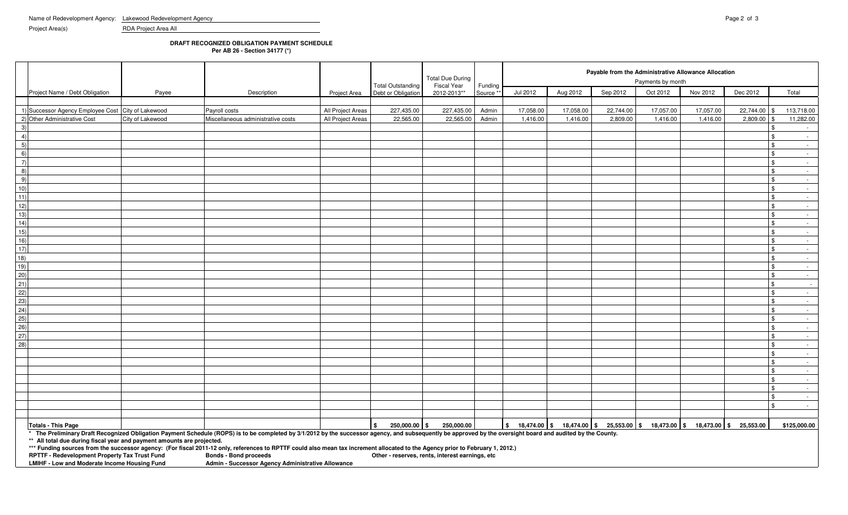Project Area(s) RDA Project Area All

## **DRAFT RECOGNIZED OBLIGATION PAYMENT SCHEDULE**

**Per AB 26 - Section 34177 (\*)**

|                |                                                                                               |                  |                                                                                                                                                                                                              |                     |                                                 | <b>Total Due During</b>    |                      |           |           | Payable from the Administrative Allowance Allocation<br>Payments by month |                                                                                                               |           |                  |                                                 |  |  |  |
|----------------|-----------------------------------------------------------------------------------------------|------------------|--------------------------------------------------------------------------------------------------------------------------------------------------------------------------------------------------------------|---------------------|-------------------------------------------------|----------------------------|----------------------|-----------|-----------|---------------------------------------------------------------------------|---------------------------------------------------------------------------------------------------------------|-----------|------------------|-------------------------------------------------|--|--|--|
|                | Project Name / Debt Obligation                                                                | Payee            | Description                                                                                                                                                                                                  | <b>Project Area</b> | <b>Total Outstanding</b><br>Debt or Obligation  | Fiscal Year<br>2012-2013** | Funding<br>Source ** | Jul 2012  | Aug 2012  | Sep 2012                                                                  | Oct 2012                                                                                                      | Nov 2012  | Dec 2012         | Total                                           |  |  |  |
|                |                                                                                               |                  |                                                                                                                                                                                                              |                     |                                                 |                            |                      |           |           |                                                                           |                                                                                                               |           |                  |                                                 |  |  |  |
|                | 1) Successor Agency Employee Cost City of Lakewood                                            |                  | Payroll costs                                                                                                                                                                                                | All Project Areas   | 227,435.00                                      | 227,435.00                 | Admin                | 17,058.00 | 17,058.00 | 22,744.00                                                                 | 17,057.00                                                                                                     | 17,057.00 | 22,744.00 \$     | 113,718.00                                      |  |  |  |
|                | 2) Other Administrative Cost                                                                  | City of Lakewood | Miscellaneous administrative costs                                                                                                                                                                           | All Project Areas   | 22,565.00                                       | 22,565.00                  | Admin                | 1,416.00  | 1,416.00  | 2,809.00                                                                  | 1,416.00                                                                                                      | 1,416.00  | 2,809.00         | 11,282.00                                       |  |  |  |
| -3             |                                                                                               |                  |                                                                                                                                                                                                              |                     |                                                 |                            |                      |           |           |                                                                           |                                                                                                               |           |                  | $\sim$                                          |  |  |  |
| $\overline{4}$ |                                                                                               |                  |                                                                                                                                                                                                              |                     |                                                 |                            |                      |           |           |                                                                           |                                                                                                               |           |                  | l \$<br>$\sim 10^{-11}$                         |  |  |  |
| (5)            |                                                                                               |                  |                                                                                                                                                                                                              |                     |                                                 |                            |                      |           |           |                                                                           |                                                                                                               |           |                  | <b>S</b><br>$\sim 10^{-11}$                     |  |  |  |
| 6)             |                                                                                               |                  |                                                                                                                                                                                                              |                     |                                                 |                            |                      |           |           |                                                                           |                                                                                                               |           |                  | \$<br>$\sim 10^{-11}$                           |  |  |  |
| $\overline{7}$ |                                                                                               |                  |                                                                                                                                                                                                              |                     |                                                 |                            |                      |           |           |                                                                           |                                                                                                               |           |                  | <b>S</b><br>$\sim 10^{-11}$                     |  |  |  |
| 8)<br>9)       |                                                                                               |                  |                                                                                                                                                                                                              |                     |                                                 |                            |                      |           |           |                                                                           |                                                                                                               |           |                  | $\sqrt{3}$<br>$\sim$ $-$                        |  |  |  |
| 10)            |                                                                                               |                  |                                                                                                                                                                                                              |                     |                                                 |                            |                      |           |           |                                                                           |                                                                                                               |           |                  | <b>S</b><br>$\sim 10^{-11}$<br>\$<br>$\sim$     |  |  |  |
| 11)            |                                                                                               |                  |                                                                                                                                                                                                              |                     |                                                 |                            |                      |           |           |                                                                           |                                                                                                               |           |                  | <b>S</b><br>$\sim 10^{-11}$                     |  |  |  |
| 12)            |                                                                                               |                  |                                                                                                                                                                                                              |                     |                                                 |                            |                      |           |           |                                                                           |                                                                                                               |           |                  | \$<br>$\sim 10^{-11}$                           |  |  |  |
| 13)            |                                                                                               |                  |                                                                                                                                                                                                              |                     |                                                 |                            |                      |           |           |                                                                           |                                                                                                               |           |                  | $\sqrt{3}$<br>$\sim$ 100 $\pm$                  |  |  |  |
| 14)            |                                                                                               |                  |                                                                                                                                                                                                              |                     |                                                 |                            |                      |           |           |                                                                           |                                                                                                               |           |                  | l \$<br>$\sim 10^{-11}$                         |  |  |  |
| 15)            |                                                                                               |                  |                                                                                                                                                                                                              |                     |                                                 |                            |                      |           |           |                                                                           |                                                                                                               |           |                  | l \$<br>$\sim$ $-$                              |  |  |  |
| 16)            |                                                                                               |                  |                                                                                                                                                                                                              |                     |                                                 |                            |                      |           |           |                                                                           |                                                                                                               |           |                  | <b>S</b><br>$\sim 10^{-11}$                     |  |  |  |
| 17)            |                                                                                               |                  |                                                                                                                                                                                                              |                     |                                                 |                            |                      |           |           |                                                                           |                                                                                                               |           |                  | <b>S</b><br>$\sim 100$                          |  |  |  |
| 18)            |                                                                                               |                  |                                                                                                                                                                                                              |                     |                                                 |                            |                      |           |           |                                                                           |                                                                                                               |           |                  | <b>S</b><br>$\sim 10^{-11}$                     |  |  |  |
| 19)            |                                                                                               |                  |                                                                                                                                                                                                              |                     |                                                 |                            |                      |           |           |                                                                           |                                                                                                               |           |                  | l \$<br>$\sim$ $-$                              |  |  |  |
| 20)            |                                                                                               |                  |                                                                                                                                                                                                              |                     |                                                 |                            |                      |           |           |                                                                           |                                                                                                               |           |                  | <b>\$</b><br>$\sim$ $-$                         |  |  |  |
| 21)            |                                                                                               |                  |                                                                                                                                                                                                              |                     |                                                 |                            |                      |           |           |                                                                           |                                                                                                               |           |                  | <b>\$</b><br>$\sim 10^{-11}$                    |  |  |  |
| (22)           |                                                                                               |                  |                                                                                                                                                                                                              |                     |                                                 |                            |                      |           |           |                                                                           |                                                                                                               |           |                  | <b>S</b><br>$\sim 100$                          |  |  |  |
| (23)           |                                                                                               |                  |                                                                                                                                                                                                              |                     |                                                 |                            |                      |           |           |                                                                           |                                                                                                               |           |                  | $\sqrt{3}$<br>$\sim 10^{-11}$                   |  |  |  |
| 24)            |                                                                                               |                  |                                                                                                                                                                                                              |                     |                                                 |                            |                      |           |           |                                                                           |                                                                                                               |           |                  | l \$<br>$\sim 10$                               |  |  |  |
| 25)            |                                                                                               |                  |                                                                                                                                                                                                              |                     |                                                 |                            |                      |           |           |                                                                           |                                                                                                               |           |                  | $\sqrt{3}$<br>$\sim 100$                        |  |  |  |
| 26)            |                                                                                               |                  |                                                                                                                                                                                                              |                     |                                                 |                            |                      |           |           |                                                                           |                                                                                                               |           |                  | $\sqrt{3}$<br>$\sim 100$                        |  |  |  |
| 27)            |                                                                                               |                  |                                                                                                                                                                                                              |                     |                                                 |                            |                      |           |           |                                                                           |                                                                                                               |           |                  | <b>S</b><br>$\sim$ $-$                          |  |  |  |
| (28)           |                                                                                               |                  |                                                                                                                                                                                                              |                     |                                                 |                            |                      |           |           |                                                                           |                                                                                                               |           |                  | <b>S</b><br>$\sim 10^{-11}$                     |  |  |  |
|                |                                                                                               |                  |                                                                                                                                                                                                              |                     |                                                 |                            |                      |           |           |                                                                           |                                                                                                               |           |                  | <b>S</b><br>$\sim 10^{-11}$                     |  |  |  |
|                |                                                                                               |                  |                                                                                                                                                                                                              |                     |                                                 |                            |                      |           |           |                                                                           |                                                                                                               |           |                  | $\mathbf{\hat{s}}$<br>$\sim 10^{-11}$           |  |  |  |
|                |                                                                                               |                  |                                                                                                                                                                                                              |                     |                                                 |                            |                      |           |           |                                                                           |                                                                                                               |           |                  | l \$<br><b>Service</b><br>l \$                  |  |  |  |
|                |                                                                                               |                  |                                                                                                                                                                                                              |                     |                                                 |                            |                      |           |           |                                                                           |                                                                                                               |           |                  | $\sim 10^{-11}$<br><b>S</b><br>$\sim$ 100 $\mu$ |  |  |  |
|                |                                                                                               |                  |                                                                                                                                                                                                              |                     |                                                 |                            |                      |           |           |                                                                           |                                                                                                               |           |                  | <b>S</b><br>$\sim$                              |  |  |  |
|                |                                                                                               |                  |                                                                                                                                                                                                              |                     |                                                 |                            |                      |           |           |                                                                           |                                                                                                               |           |                  | l \$<br>$\sim 100$                              |  |  |  |
|                |                                                                                               |                  |                                                                                                                                                                                                              |                     |                                                 |                            |                      |           |           |                                                                           |                                                                                                               |           |                  |                                                 |  |  |  |
|                | <b>Totals - This Page</b>                                                                     |                  |                                                                                                                                                                                                              |                     | 250,000.00 \$<br>. ድ                            | 250,000.00                 |                      |           |           |                                                                           | $\frac{1}{3}$ 18,474.00 $\frac{1}{3}$ 18,474.00 $\frac{1}{3}$ 25,553.00 $\frac{1}{3}$ 18,473.00 $\frac{1}{3}$ | 18,473.00 | l S<br>25,553.00 | \$125,000.00                                    |  |  |  |
|                |                                                                                               |                  | * The Preliminary Draft Recognized Obligation Payment Schedule (ROPS) is to be completed by 3/1/2012 by the successor agency, and subsequently be approved by the oversight board and audited by the County. |                     |                                                 |                            |                      |           |           |                                                                           |                                                                                                               |           |                  |                                                 |  |  |  |
|                | ** All total due during fiscal year and payment amounts are projected.                        |                  |                                                                                                                                                                                                              |                     |                                                 |                            |                      |           |           |                                                                           |                                                                                                               |           |                  |                                                 |  |  |  |
|                |                                                                                               |                  | *** Funding sources from the successor agency: (For fiscal 2011-12 only, references to RPTTF could also mean tax increment allocated to the Agency prior to February 1, 2012.)                               |                     |                                                 |                            |                      |           |           |                                                                           |                                                                                                               |           |                  |                                                 |  |  |  |
|                | RPTTF - Redevelopment Property Tax Trust Fund<br>LMIHF - Low and Moderate Income Housing Fund |                  | <b>Bonds - Bond proceeds</b><br>Admin - Successor Agency Administrative Allowance                                                                                                                            |                     | Other - reserves, rents, interest earnings, etc |                            |                      |           |           |                                                                           |                                                                                                               |           |                  |                                                 |  |  |  |